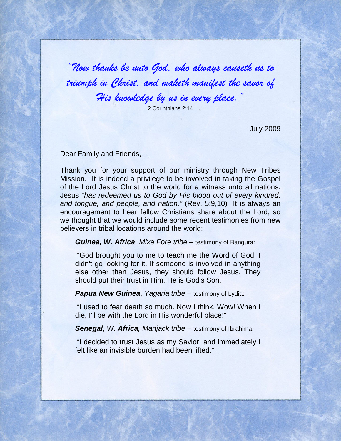"Now thanks be unto God, who always causeth us to triumph in Christ, and maketh manifest the savor of His knowledge by us in every place."

2 Corinthians 2:14

July 2009

Dear Family and Friends,

Thank you for your support of our ministry through New Tribes Mission. It is indeed a privilege to be involved in taking the Gospel of the Lord Jesus Christ to the world for a witness unto all nations. Jesus "has redeemed us to God by His blood out of every kindred, and tongue, and people, and nation." (Rev. 5:9,10) It is always an encouragement to hear fellow Christians share about the Lord, so we thought that we would include some recent testimonies from new believers in tribal locations around the world:

**Guinea, W. Africa**, Mixe Fore tribe – testimony of Bangura:

 "God brought you to me to teach me the Word of God; I didn't go looking for it. If someone is involved in anything else other than Jesus, they should follow Jesus. They should put their trust in Him. He is God's Son."

**Papua New Guinea, Yagaria tribe – testimony of Lydia:** 

 "I used to fear death so much. Now I think, Wow! When I die, I'll be with the Lord in His wonderful place!"

**Senegal, W. Africa**, Manjack tribe – testimony of Ibrahima:

 "I decided to trust Jesus as my Savior, and immediately I felt like an invisible burden had been lifted."